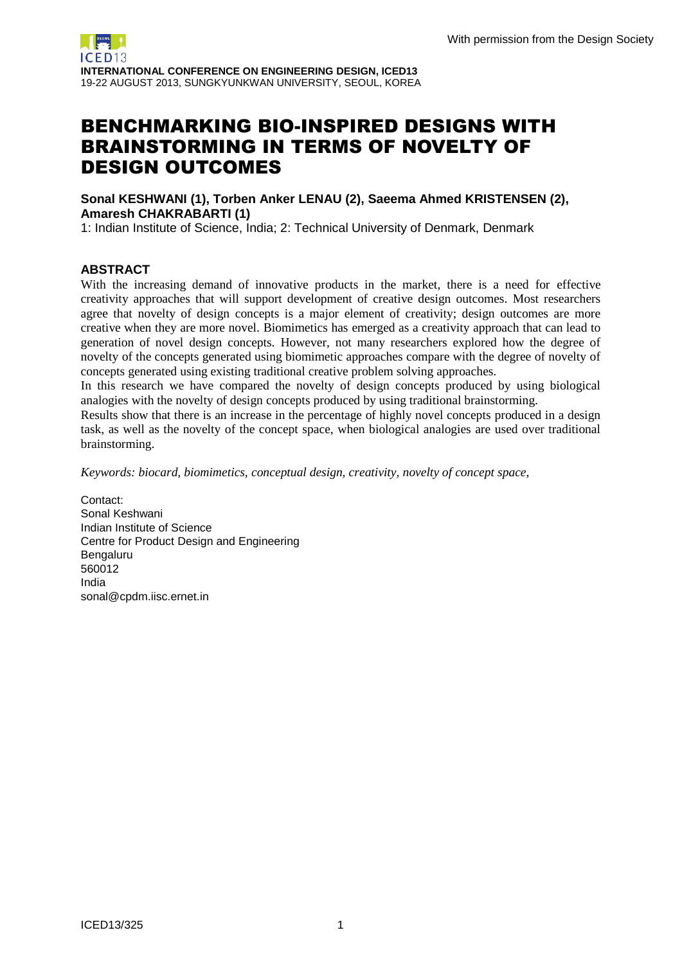# BENCHMARKING BIO-INSPIRED DESIGNS WITH BRAINSTORMING IN TERMS OF NOVELTY OF DESIGN OUTCOMES

**Sonal KESHWANI (1), Torben Anker LENAU (2), Saeema Ahmed KRISTENSEN (2), Amaresh CHAKRABARTI (1)**

1: Indian Institute of Science, India; 2: Technical University of Denmark, Denmark

## **ABSTRACT**

With the increasing demand of innovative products in the market, there is a need for effective creativity approaches that will support development of creative design outcomes. Most researchers agree that novelty of design concepts is a major element of creativity; design outcomes are more creative when they are more novel. Biomimetics has emerged as a creativity approach that can lead to generation of novel design concepts. However, not many researchers explored how the degree of novelty of the concepts generated using biomimetic approaches compare with the degree of novelty of concepts generated using existing traditional creative problem solving approaches.

In this research we have compared the novelty of design concepts produced by using biological analogies with the novelty of design concepts produced by using traditional brainstorming.

Results show that there is an increase in the percentage of highly novel concepts produced in a design task, as well as the novelty of the concept space, when biological analogies are used over traditional brainstorming.

*Keywords: biocard, biomimetics, conceptual design, creativity, novelty of concept space,*

Contact: Sonal Keshwani Indian Institute of Science Centre for Product Design and Engineering Bengaluru 560012 India sonal@cpdm.iisc.ernet.in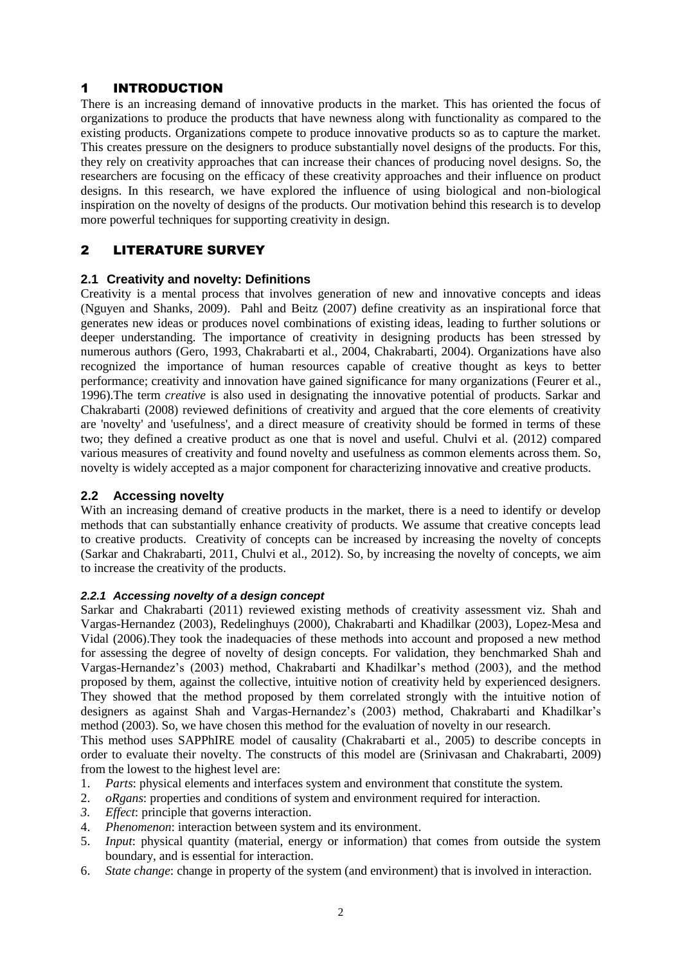# 1 INTRODUCTION

There is an increasing demand of innovative products in the market. This has oriented the focus of organizations to produce the products that have newness along with functionality as compared to the existing products. Organizations compete to produce innovative products so as to capture the market. This creates pressure on the designers to produce substantially novel designs of the products. For this, they rely on creativity approaches that can increase their chances of producing novel designs. So, the researchers are focusing on the efficacy of these creativity approaches and their influence on product designs. In this research, we have explored the influence of using biological and non-biological inspiration on the novelty of designs of the products. Our motivation behind this research is to develop more powerful techniques for supporting creativity in design.

# 2 LITERATURE SURVEY

## **2.1 Creativity and novelty: Definitions**

Creativity is a mental process that involves generation of new and innovative concepts and ideas (Nguyen and Shanks, 2009). Pahl and Beitz (2007) define creativity as an inspirational force that generates new ideas or produces novel combinations of existing ideas, leading to further solutions or deeper understanding. The importance of creativity in designing products has been stressed by numerous authors (Gero, 1993, Chakrabarti et al., 2004, Chakrabarti, 2004). Organizations have also recognized the importance of human resources capable of creative thought as keys to better performance; creativity and innovation have gained significance for many organizations (Feurer et al., 1996).The term *creative* is also used in designating the innovative potential of products. Sarkar and Chakrabarti (2008) reviewed definitions of creativity and argued that the core elements of creativity are 'novelty' and 'usefulness', and a direct measure of creativity should be formed in terms of these two; they defined a creative product as one that is novel and useful. Chulvi et al. (2012) compared various measures of creativity and found novelty and usefulness as common elements across them. So, novelty is widely accepted as a major component for characterizing innovative and creative products.

## **2.2 Accessing novelty**

With an increasing demand of creative products in the market, there is a need to identify or develop methods that can substantially enhance creativity of products. We assume that creative concepts lead to creative products. Creativity of concepts can be increased by increasing the novelty of concepts (Sarkar and Chakrabarti, 2011, Chulvi et al., 2012). So, by increasing the novelty of concepts, we aim to increase the creativity of the products.

## *2.2.1 Accessing novelty of a design concept*

Sarkar and Chakrabarti (2011) reviewed existing methods of creativity assessment viz. Shah and Vargas-Hernandez (2003), Redelinghuys (2000), Chakrabarti and Khadilkar (2003), Lopez-Mesa and Vidal (2006).They took the inadequacies of these methods into account and proposed a new method for assessing the degree of novelty of design concepts. For validation, they benchmarked Shah and Vargas-Hernandez's (2003) method, Chakrabarti and Khadilkar's method (2003), and the method proposed by them, against the collective, intuitive notion of creativity held by experienced designers. They showed that the method proposed by them correlated strongly with the intuitive notion of designers as against Shah and Vargas-Hernandez's (2003) method, Chakrabarti and Khadilkar's method (2003). So, we have chosen this method for the evaluation of novelty in our research.

This method uses SAPPhIRE model of causality (Chakrabarti et al., 2005) to describe concepts in order to evaluate their novelty. The constructs of this model are (Srinivasan and Chakrabarti, 2009) from the lowest to the highest level are:

- 1. *Parts*: physical elements and interfaces system and environment that constitute the system.
- 2. *oRgans*: properties and conditions of system and environment required for interaction.
- *3. Effect*: principle that governs interaction.
- 4. *Phenomenon*: interaction between system and its environment.
- 5. *Input*: physical quantity (material, energy or information) that comes from outside the system boundary, and is essential for interaction.
- 6. *State change*: change in property of the system (and environment) that is involved in interaction.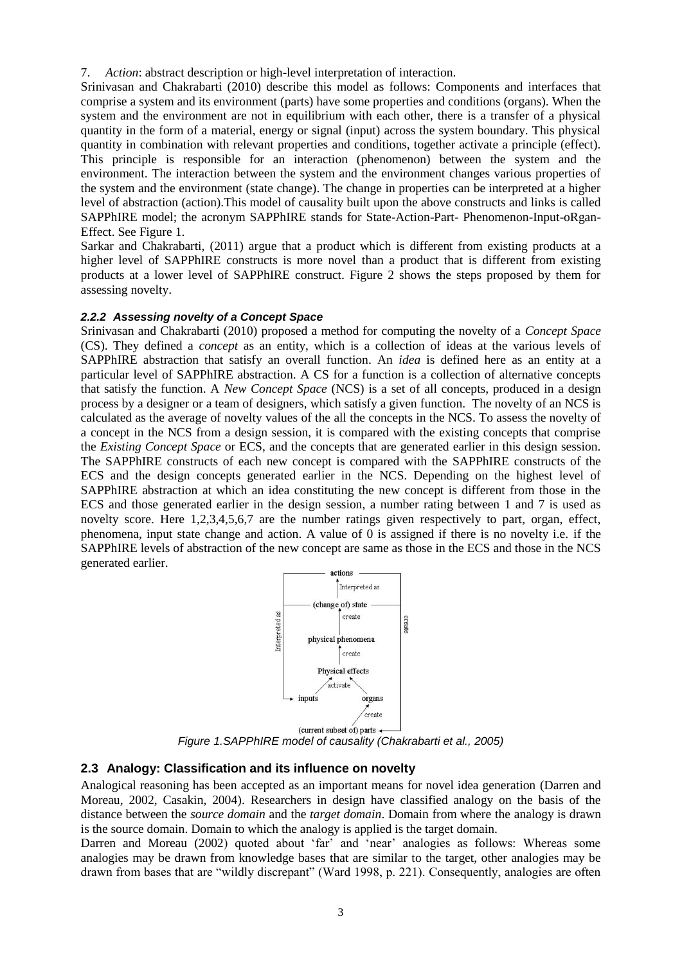7. *Action*: abstract description or high-level interpretation of interaction.

Srinivasan and Chakrabarti (2010) describe this model as follows: Components and interfaces that comprise a system and its environment (parts) have some properties and conditions (organs). When the system and the environment are not in equilibrium with each other, there is a transfer of a physical quantity in the form of a material, energy or signal (input) across the system boundary. This physical quantity in combination with relevant properties and conditions, together activate a principle (effect). This principle is responsible for an interaction (phenomenon) between the system and the environment. The interaction between the system and the environment changes various properties of the system and the environment (state change). The change in properties can be interpreted at a higher level of abstraction (action).This model of causality built upon the above constructs and links is called SAPPhIRE model; the acronym SAPPhIRE stands for State-Action-Part- Phenomenon-Input-oRgan-Effect. See Figure 1.

Sarkar and Chakrabarti, (2011) argue that a product which is different from existing products at a higher level of SAPPhIRE constructs is more novel than a product that is different from existing products at a lower level of SAPPhIRE construct. Figure 2 shows the steps proposed by them for assessing novelty.

#### *2.2.2 Assessing novelty of a Concept Space*

Srinivasan and Chakrabarti (2010) proposed a method for computing the novelty of a *Concept Space* (CS). They defined a *concept* as an entity, which is a collection of ideas at the various levels of SAPPhIRE abstraction that satisfy an overall function. An *idea* is defined here as an entity at a particular level of SAPPhIRE abstraction. A CS for a function is a collection of alternative concepts that satisfy the function. A *New Concept Space* (NCS) is a set of all concepts, produced in a design process by a designer or a team of designers, which satisfy a given function. The novelty of an NCS is calculated as the average of novelty values of the all the concepts in the NCS. To assess the novelty of a concept in the NCS from a design session, it is compared with the existing concepts that comprise the *Existing Concept Space* or ECS, and the concepts that are generated earlier in this design session. The SAPPhIRE constructs of each new concept is compared with the SAPPhIRE constructs of the ECS and the design concepts generated earlier in the NCS. Depending on the highest level of SAPPhIRE abstraction at which an idea constituting the new concept is different from those in the ECS and those generated earlier in the design session, a number rating between 1 and 7 is used as novelty score. Here 1,2,3,4,5,6,7 are the number ratings given respectively to part, organ, effect, phenomena, input state change and action. A value of 0 is assigned if there is no novelty i.e. if the SAPPhIRE levels of abstraction of the new concept are same as those in the ECS and those in the NCS generated earlier.



*Figure 1.SAPPhIRE model of causality (Chakrabarti et al., 2005)*

#### **2.3 Analogy: Classification and its influence on novelty**

Analogical reasoning has been accepted as an important means for novel idea generation (Darren and Moreau, 2002, Casakin, 2004). Researchers in design have classified analogy on the basis of the distance between the *source domain* and the *target domain*. Domain from where the analogy is drawn is the source domain. Domain to which the analogy is applied is the target domain.

Darren and Moreau (2002) quoted about 'far' and 'near' analogies as follows: Whereas some analogies may be drawn from knowledge bases that are similar to the target, other analogies may be drawn from bases that are "wildly discrepant" (Ward 1998, p. 221). Consequently, analogies are often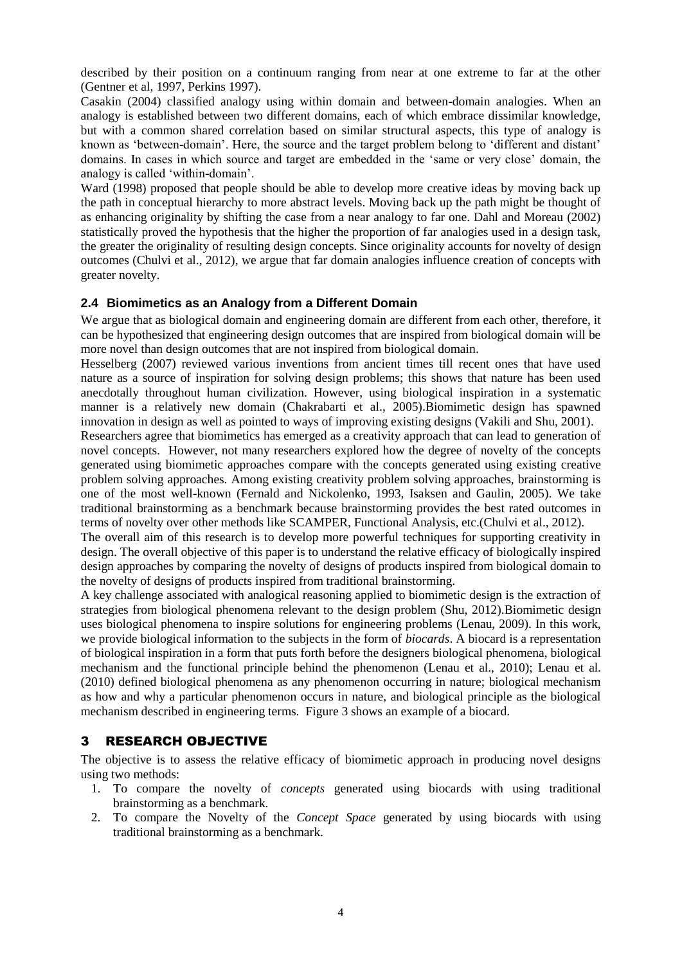described by their position on a continuum ranging from near at one extreme to far at the other (Gentner et al, 1997, Perkins 1997).

Casakin (2004) classified analogy using within domain and between-domain analogies. When an analogy is established between two different domains, each of which embrace dissimilar knowledge, but with a common shared correlation based on similar structural aspects, this type of analogy is known as 'between-domain'. Here, the source and the target problem belong to 'different and distant' domains. In cases in which source and target are embedded in the 'same or very close' domain, the analogy is called 'within-domain'.

Ward (1998) proposed that people should be able to develop more creative ideas by moving back up the path in conceptual hierarchy to more abstract levels. Moving back up the path might be thought of as enhancing originality by shifting the case from a near analogy to far one. Dahl and Moreau (2002) statistically proved the hypothesis that the higher the proportion of far analogies used in a design task, the greater the originality of resulting design concepts. Since originality accounts for novelty of design outcomes (Chulvi et al., 2012), we argue that far domain analogies influence creation of concepts with greater novelty.

## **2.4 Biomimetics as an Analogy from a Different Domain**

We argue that as biological domain and engineering domain are different from each other, therefore, it can be hypothesized that engineering design outcomes that are inspired from biological domain will be more novel than design outcomes that are not inspired from biological domain.

Hesselberg (2007) reviewed various inventions from ancient times till recent ones that have used nature as a source of inspiration for solving design problems; this shows that nature has been used anecdotally throughout human civilization. However, using biological inspiration in a systematic manner is a relatively new domain (Chakrabarti et al., 2005).Biomimetic design has spawned innovation in design as well as pointed to ways of improving existing designs (Vakili and Shu, 2001).

Researchers agree that biomimetics has emerged as a creativity approach that can lead to generation of novel concepts. However, not many researchers explored how the degree of novelty of the concepts generated using biomimetic approaches compare with the concepts generated using existing creative problem solving approaches. Among existing creativity problem solving approaches, brainstorming is one of the most well-known (Fernald and Nickolenko, 1993, Isaksen and Gaulin, 2005). We take traditional brainstorming as a benchmark because brainstorming provides the best rated outcomes in terms of novelty over other methods like SCAMPER, Functional Analysis, etc.(Chulvi et al., 2012).

The overall aim of this research is to develop more powerful techniques for supporting creativity in design. The overall objective of this paper is to understand the relative efficacy of biologically inspired design approaches by comparing the novelty of designs of products inspired from biological domain to the novelty of designs of products inspired from traditional brainstorming.

A key challenge associated with analogical reasoning applied to biomimetic design is the extraction of strategies from biological phenomena relevant to the design problem (Shu, 2012).Biomimetic design uses biological phenomena to inspire solutions for engineering problems (Lenau, 2009). In this work, we provide biological information to the subjects in the form of *biocards*. A biocard is a representation of biological inspiration in a form that puts forth before the designers biological phenomena, biological mechanism and the functional principle behind the phenomenon (Lenau et al., 2010); Lenau et al. (2010) defined biological phenomena as any phenomenon occurring in nature; biological mechanism as how and why a particular phenomenon occurs in nature, and biological principle as the biological mechanism described in engineering terms. Figure 3 shows an example of a biocard.

## 3 RESEARCH OBJECTIVE

The objective is to assess the relative efficacy of biomimetic approach in producing novel designs using two methods:

- 1. To compare the novelty of *concepts* generated using biocards with using traditional brainstorming as a benchmark.
- 2. To compare the Novelty of the *Concept Space* generated by using biocards with using traditional brainstorming as a benchmark.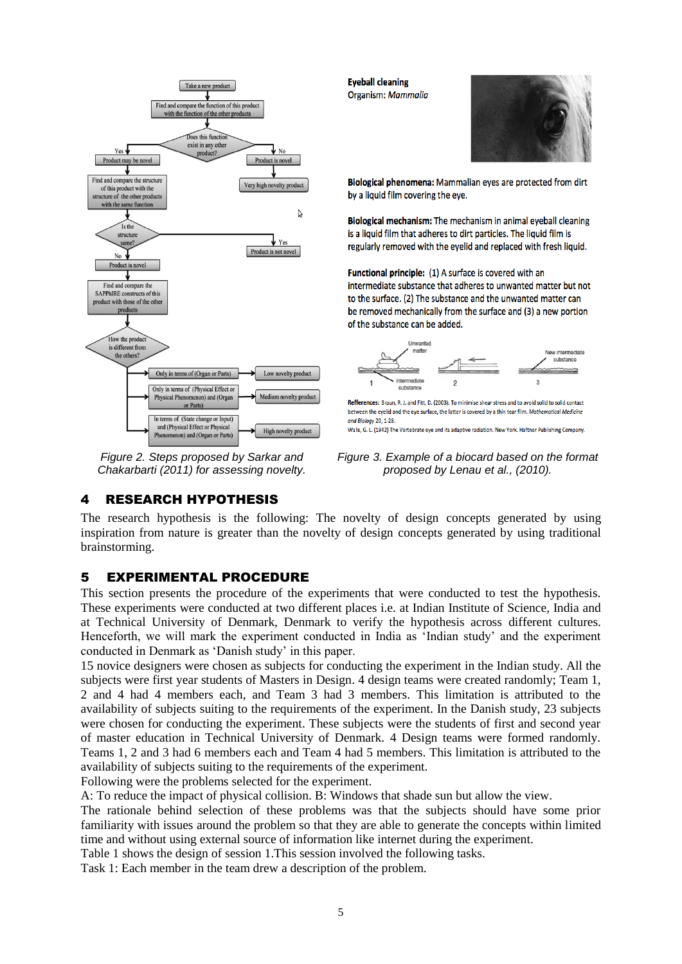

*Figure 2. Steps proposed by Sarkar and Chakarbarti (2011) for assessing novelty.*

**Eyeball cleaning** Organism: Mammalia



Biological phenomena: Mammalian eyes are protected from dirt by a liquid film covering the eye.

Biological mechanism: The mechanism in animal eyeball cleaning is a liquid film that adheres to dirt particles. The liquid film is regularly removed with the eyelid and replaced with fresh liquid.

Functional principle: (1) A surface is covered with an intermediate substance that adheres to unwanted matter but not to the surface. (2) The substance and the unwanted matter can be removed mechanically from the surface and (3) a new portion of the substance can be added.



Refferences: Braun, R. J. and Fitt, D. (2003). To minimise shear stress and to avoid solid to solid contact between the evelid and the eve surface, the latter is covered by a thin tear film, Mathematical Medicine and Biology 20, 1-28 Walls, G. L. (1942) The Vertebrate eye and its adaptive radiation. New York. Haftner Publishing Company.

*Figure 3. Example of a biocard based on the format proposed by Lenau et al., (2010).*

4 RESEARCH HYPOTHESIS

The research hypothesis is the following: The novelty of design concepts generated by using inspiration from nature is greater than the novelty of design concepts generated by using traditional brainstorming.

# 5 EXPERIMENTAL PROCEDURE

This section presents the procedure of the experiments that were conducted to test the hypothesis. These experiments were conducted at two different places i.e. at Indian Institute of Science, India and at Technical University of Denmark, Denmark to verify the hypothesis across different cultures. Henceforth, we will mark the experiment conducted in India as 'Indian study' and the experiment conducted in Denmark as 'Danish study' in this paper.

15 novice designers were chosen as subjects for conducting the experiment in the Indian study. All the subjects were first year students of Masters in Design. 4 design teams were created randomly; Team 1, 2 and 4 had 4 members each, and Team 3 had 3 members. This limitation is attributed to the availability of subjects suiting to the requirements of the experiment. In the Danish study, 23 subjects were chosen for conducting the experiment. These subjects were the students of first and second year of master education in Technical University of Denmark. 4 Design teams were formed randomly. Teams 1, 2 and 3 had 6 members each and Team 4 had 5 members. This limitation is attributed to the availability of subjects suiting to the requirements of the experiment.

Following were the problems selected for the experiment.

A: To reduce the impact of physical collision. B: Windows that shade sun but allow the view.

The rationale behind selection of these problems was that the subjects should have some prior familiarity with issues around the problem so that they are able to generate the concepts within limited time and without using external source of information like internet during the experiment.

Table 1 shows the design of session 1.This session involved the following tasks.

Task 1: Each member in the team drew a description of the problem.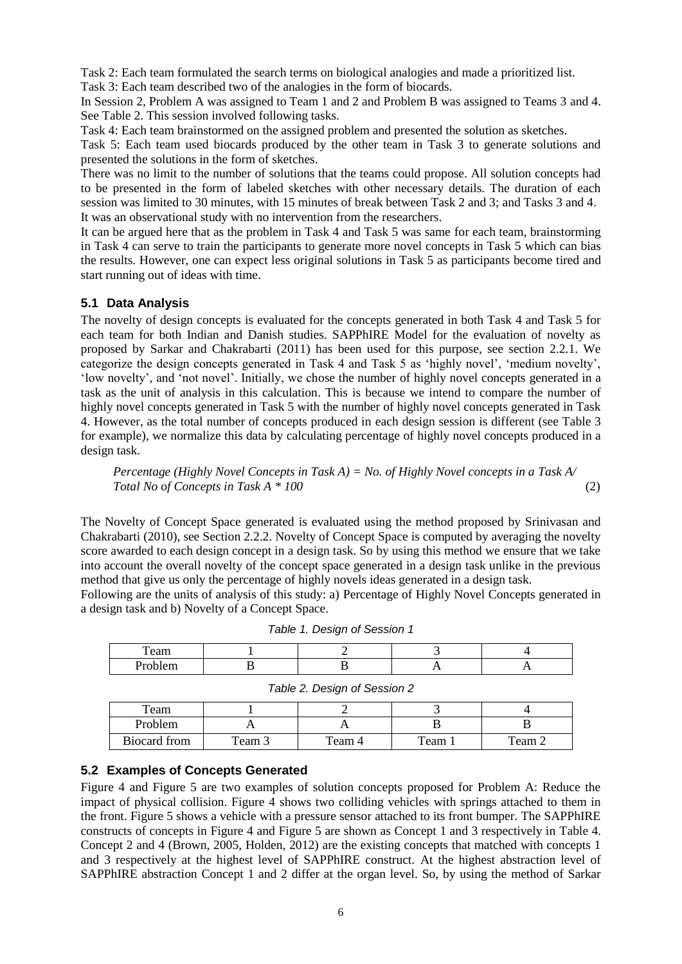Task 2: Each team formulated the search terms on biological analogies and made a prioritized list. Task 3: Each team described two of the analogies in the form of biocards.

In Session 2, Problem A was assigned to Team 1 and 2 and Problem B was assigned to Teams 3 and 4. See Table 2. This session involved following tasks.

Task 4: Each team brainstormed on the assigned problem and presented the solution as sketches.

Task 5: Each team used biocards produced by the other team in Task 3 to generate solutions and presented the solutions in the form of sketches.

There was no limit to the number of solutions that the teams could propose. All solution concepts had to be presented in the form of labeled sketches with other necessary details. The duration of each session was limited to 30 minutes, with 15 minutes of break between Task 2 and 3; and Tasks 3 and 4. It was an observational study with no intervention from the researchers.

It can be argued here that as the problem in Task 4 and Task 5 was same for each team, brainstorming in Task 4 can serve to train the participants to generate more novel concepts in Task 5 which can bias the results. However, one can expect less original solutions in Task 5 as participants become tired and start running out of ideas with time.

## **5.1 Data Analysis**

The novelty of design concepts is evaluated for the concepts generated in both Task 4 and Task 5 for each team for both Indian and Danish studies. SAPPhIRE Model for the evaluation of novelty as proposed by Sarkar and Chakrabarti (2011) has been used for this purpose, see section 2.2.1. We categorize the design concepts generated in Task 4 and Task 5 as 'highly novel', 'medium novelty', 'low novelty', and 'not novel'. Initially, we chose the number of highly novel concepts generated in a task as the unit of analysis in this calculation. This is because we intend to compare the number of highly novel concepts generated in Task 5 with the number of highly novel concepts generated in Task 4. However, as the total number of concepts produced in each design session is different (see Table 3 for example), we normalize this data by calculating percentage of highly novel concepts produced in a design task.

*Percentage (Highly Novel Concepts in Task A) = No. of Highly Novel concepts in a Task A/ Total No of Concepts in Task A \* 100* (2)

The Novelty of Concept Space generated is evaluated using the method proposed by Srinivasan and Chakrabarti (2010), see Section 2.2.2. Novelty of Concept Space is computed by averaging the novelty score awarded to each design concept in a design task. So by using this method we ensure that we take into account the overall novelty of the concept space generated in a design task unlike in the previous method that give us only the percentage of highly novels ideas generated in a design task.

Following are the units of analysis of this study: a) Percentage of Highly Novel Concepts generated in a design task and b) Novelty of a Concept Space.

| eam    |  |  |
|--------|--|--|
| <br>-- |  |  |

| Table 1. Design of Session 1 |  |
|------------------------------|--|
|------------------------------|--|

|              |        | Table 2. Design of Session 2 |        |        |
|--------------|--------|------------------------------|--------|--------|
| Team         |        |                              |        |        |
| Problem      |        |                              |        |        |
| Biocard from | Team 3 | Team 4                       | Team 1 | Team 2 |

#### **5.2 Examples of Concepts Generated**

Figure 4 and Figure 5 are two examples of solution concepts proposed for Problem A: Reduce the impact of physical collision. Figure 4 shows two colliding vehicles with springs attached to them in the front. Figure 5 shows a vehicle with a pressure sensor attached to its front bumper. The SAPPhIRE constructs of concepts in Figure 4 and Figure 5 are shown as Concept 1 and 3 respectively in Table 4. Concept 2 and 4 (Brown, 2005, Holden, 2012) are the existing concepts that matched with concepts 1 and 3 respectively at the highest level of SAPPhIRE construct. At the highest abstraction level of SAPPhIRE abstraction Concept 1 and 2 differ at the organ level. So, by using the method of Sarkar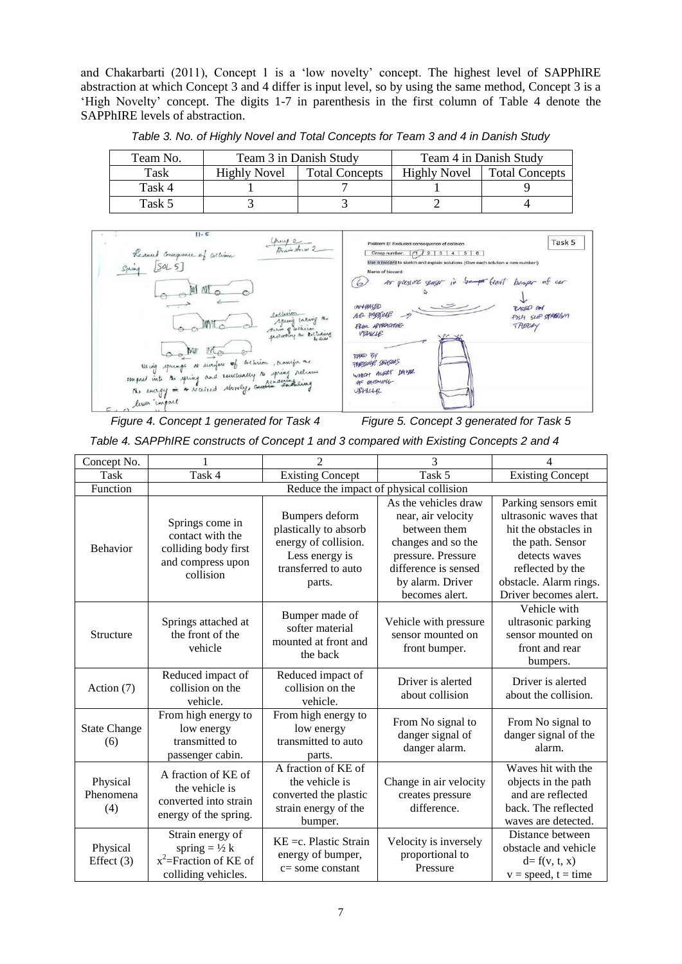and Chakarbarti (2011), Concept 1 is a 'low novelty' concept. The highest level of SAPPhIRE abstraction at which Concept 3 and 4 differ is input level, so by using the same method, Concept 3 is a 'High Novelty' concept. The digits 1-7 in parenthesis in the first column of Table 4 denote the SAPPhIRE levels of abstraction.

| Team No. | Team 3 in Danish Study                |  | Team 4 in Danish Study |                       |
|----------|---------------------------------------|--|------------------------|-----------------------|
| Task     | <b>Total Concepts</b><br>Highly Novel |  | <b>Highly Novel</b>    | <b>Total Concepts</b> |
| Task 4   |                                       |  |                        |                       |
| Task 5   |                                       |  |                        |                       |

*Table 3. No. of Highly Novel and Total Concepts for Team 3 and 4 in Danish Study*



*Figure 4. Concept 1 generated for Task 4 Figure 5. Concept 3 generated for Task 5*

*Table 4. SAPPhIRE constructs of Concept 1 and 3 compared with Existing Concepts 2 and 4*

| Concept No.                  |                                                                                                 | $\mathfrak{D}$                                                                                                     | 3                                                                                                                                                                    | 4                                                                                                                                                                                 |  |  |
|------------------------------|-------------------------------------------------------------------------------------------------|--------------------------------------------------------------------------------------------------------------------|----------------------------------------------------------------------------------------------------------------------------------------------------------------------|-----------------------------------------------------------------------------------------------------------------------------------------------------------------------------------|--|--|
| Task                         | Task 4                                                                                          | <b>Existing Concept</b>                                                                                            | Task 5                                                                                                                                                               | Existing Concept                                                                                                                                                                  |  |  |
| Function                     |                                                                                                 | Reduce the impact of physical collision                                                                            |                                                                                                                                                                      |                                                                                                                                                                                   |  |  |
| Behavior                     | Springs come in<br>contact with the<br>colliding body first<br>and compress upon<br>collision   | Bumpers deform<br>plastically to absorb<br>energy of collision.<br>Less energy is<br>transferred to auto<br>parts. | As the vehicles draw<br>near, air velocity<br>between them<br>changes and so the<br>pressure. Pressure<br>difference is sensed<br>by alarm. Driver<br>becomes alert. | Parking sensors emit<br>ultrasonic waves that<br>hit the obstacles in<br>the path. Sensor<br>detects waves<br>reflected by the<br>obstacle. Alarm rings.<br>Driver becomes alert. |  |  |
| Structure                    | Springs attached at<br>the front of the<br>vehicle                                              | Bumper made of<br>softer material<br>mounted at front and<br>the back                                              | Vehicle with pressure<br>sensor mounted on<br>front bumper.                                                                                                          | Vehicle with<br>ultrasonic parking<br>sensor mounted on<br>front and rear<br>bumpers.                                                                                             |  |  |
| Action (7)                   | Reduced impact of<br>collision on the<br>vehicle.                                               | Reduced impact of<br>collision on the<br>vehicle.                                                                  | Driver is alerted<br>about collision                                                                                                                                 | Driver is alerted<br>about the collision.                                                                                                                                         |  |  |
| <b>State Change</b><br>(6)   | From high energy to<br>low energy<br>transmitted to<br>passenger cabin.                         | From high energy to<br>low energy<br>transmitted to auto<br>parts.                                                 | From No signal to<br>danger signal of<br>danger alarm.                                                                                                               | From No signal to<br>danger signal of the<br>alarm.                                                                                                                               |  |  |
| Physical<br>Phenomena<br>(4) | A fraction of KE of<br>the vehicle is<br>converted into strain<br>energy of the spring.         | A fraction of KE of<br>the vehicle is<br>converted the plastic<br>strain energy of the<br>bumper.                  | Change in air velocity<br>creates pressure<br>difference.                                                                                                            | Waves hit with the<br>objects in the path<br>and are reflected<br>back. The reflected<br>waves are detected.                                                                      |  |  |
| Physical<br>Effect $(3)$     | Strain energy of<br>spring $= \frac{1}{2} k$<br>$x^2$ =Fraction of KE of<br>colliding vehicles. | $KE = c$ . Plastic Strain<br>energy of bumper,<br>$c =$ some constant                                              | Velocity is inversely<br>proportional to<br>Pressure                                                                                                                 | Distance between<br>obstacle and vehicle<br>$d = f(v, t, x)$<br>$v = speed, t = time$                                                                                             |  |  |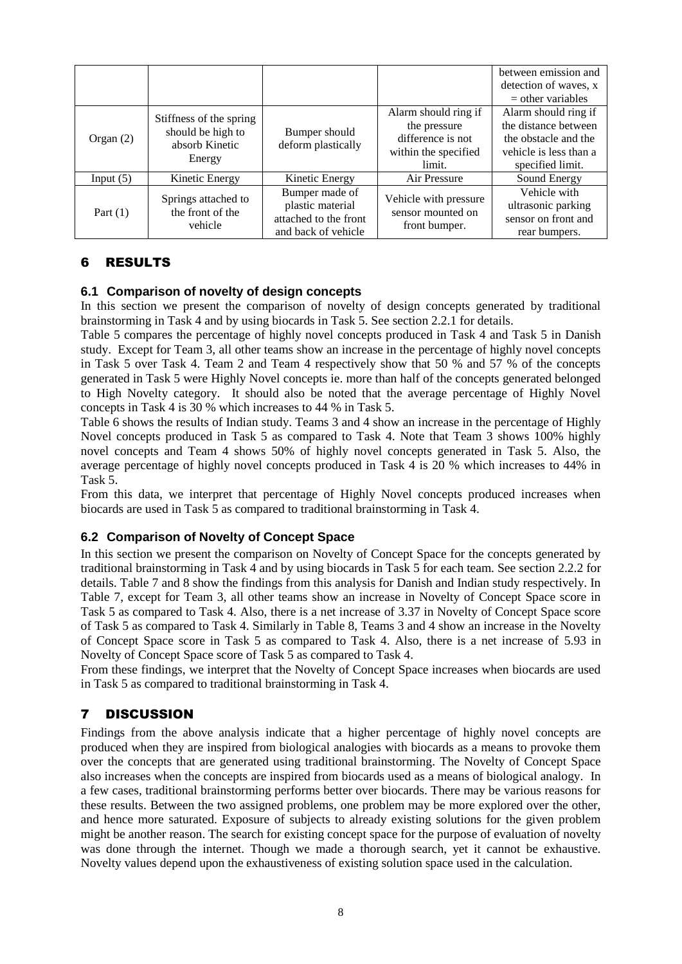|             |                                                                          |                                                                                    |                                                                                             | between emission and<br>detection of waves, x<br>$=$ other variables                                               |
|-------------|--------------------------------------------------------------------------|------------------------------------------------------------------------------------|---------------------------------------------------------------------------------------------|--------------------------------------------------------------------------------------------------------------------|
| Organ $(2)$ | Stiffness of the spring<br>should be high to<br>absorb Kinetic<br>Energy | Bumper should<br>deform plastically                                                | Alarm should ring if<br>the pressure<br>difference is not<br>within the specified<br>limit. | Alarm should ring if<br>the distance between<br>the obstacle and the<br>vehicle is less than a<br>specified limit. |
| Input $(5)$ | Kinetic Energy                                                           | Kinetic Energy                                                                     | Air Pressure                                                                                | Sound Energy                                                                                                       |
| Part $(1)$  | Springs attached to<br>the front of the<br>vehicle                       | Bumper made of<br>plastic material<br>attached to the front<br>and back of vehicle | Vehicle with pressure<br>sensor mounted on<br>front bumper.                                 | Vehicle with<br>ultrasonic parking<br>sensor on front and<br>rear bumpers.                                         |

# 6 RESULTS

## **6.1 Comparison of novelty of design concepts**

In this section we present the comparison of novelty of design concepts generated by traditional brainstorming in Task 4 and by using biocards in Task 5. See section 2.2.1 for details.

Table 5 compares the percentage of highly novel concepts produced in Task 4 and Task 5 in Danish study. Except for Team 3, all other teams show an increase in the percentage of highly novel concepts in Task 5 over Task 4. Team 2 and Team 4 respectively show that 50 % and 57 % of the concepts generated in Task 5 were Highly Novel concepts ie. more than half of the concepts generated belonged to High Novelty category. It should also be noted that the average percentage of Highly Novel concepts in Task 4 is 30 % which increases to 44 % in Task 5.

Table 6 shows the results of Indian study. Teams 3 and 4 show an increase in the percentage of Highly Novel concepts produced in Task 5 as compared to Task 4. Note that Team 3 shows 100% highly novel concepts and Team 4 shows 50% of highly novel concepts generated in Task 5. Also, the average percentage of highly novel concepts produced in Task 4 is 20 % which increases to 44% in Task 5.

From this data, we interpret that percentage of Highly Novel concepts produced increases when biocards are used in Task 5 as compared to traditional brainstorming in Task 4.

## **6.2 Comparison of Novelty of Concept Space**

In this section we present the comparison on Novelty of Concept Space for the concepts generated by traditional brainstorming in Task 4 and by using biocards in Task 5 for each team. See section 2.2.2 for details. Table 7 and 8 show the findings from this analysis for Danish and Indian study respectively. In Table 7, except for Team 3, all other teams show an increase in Novelty of Concept Space score in Task 5 as compared to Task 4. Also, there is a net increase of 3.37 in Novelty of Concept Space score of Task 5 as compared to Task 4. Similarly in Table 8, Teams 3 and 4 show an increase in the Novelty of Concept Space score in Task 5 as compared to Task 4. Also, there is a net increase of 5.93 in Novelty of Concept Space score of Task 5 as compared to Task 4.

From these findings, we interpret that the Novelty of Concept Space increases when biocards are used in Task 5 as compared to traditional brainstorming in Task 4.

## 7 DISCUSSION

Findings from the above analysis indicate that a higher percentage of highly novel concepts are produced when they are inspired from biological analogies with biocards as a means to provoke them over the concepts that are generated using traditional brainstorming. The Novelty of Concept Space also increases when the concepts are inspired from biocards used as a means of biological analogy. In a few cases, traditional brainstorming performs better over biocards. There may be various reasons for these results. Between the two assigned problems, one problem may be more explored over the other, and hence more saturated. Exposure of subjects to already existing solutions for the given problem might be another reason. The search for existing concept space for the purpose of evaluation of novelty was done through the internet. Though we made a thorough search, yet it cannot be exhaustive. Novelty values depend upon the exhaustiveness of existing solution space used in the calculation.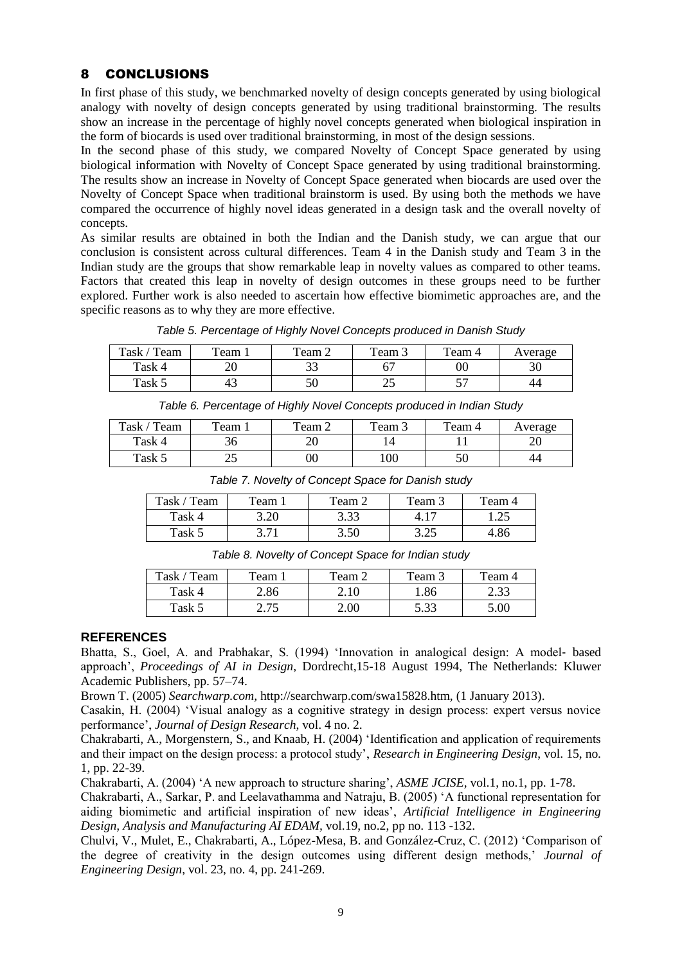# 8 CONCLUSIONS

In first phase of this study, we benchmarked novelty of design concepts generated by using biological analogy with novelty of design concepts generated by using traditional brainstorming. The results show an increase in the percentage of highly novel concepts generated when biological inspiration in the form of biocards is used over traditional brainstorming, in most of the design sessions.

In the second phase of this study, we compared Novelty of Concept Space generated by using biological information with Novelty of Concept Space generated by using traditional brainstorming. The results show an increase in Novelty of Concept Space generated when biocards are used over the Novelty of Concept Space when traditional brainstorm is used. By using both the methods we have compared the occurrence of highly novel ideas generated in a design task and the overall novelty of concepts.

As similar results are obtained in both the Indian and the Danish study, we can argue that our conclusion is consistent across cultural differences. Team 4 in the Danish study and Team 3 in the Indian study are the groups that show remarkable leap in novelty values as compared to other teams. Factors that created this leap in novelty of design outcomes in these groups need to be further explored. Further work is also needed to ascertain how effective biomimetic approaches are, and the specific reasons as to why they are more effective.

| Task .<br>Team | Team <sub>1</sub> | Team 2   | Team $\sim$            | Team 4          | Average |
|----------------|-------------------|----------|------------------------|-----------------|---------|
| Task 4         | ററ<br>∠∪          | າາ<br>JJ | 67                     | $00\,$          | 30      |
| Task 5         | 45                | 50       | $\cap$ $\subset$<br>رے | $\epsilon$<br>ັ | 44      |

*Table 5. Percentage of Highly Novel Concepts produced in Danish Study*

| Table 6. Percentage of Highly Novel Concepts produced in Indian Study |  |
|-----------------------------------------------------------------------|--|
|-----------------------------------------------------------------------|--|

| Task /<br>Team | Team. | Team $\angle$ | Team 5 | Team 4 | Average |
|----------------|-------|---------------|--------|--------|---------|
| Task 4         | 30    | ΖU            |        |        | ∠∪      |
| Task 5         | رے    | $00\,$        | 100    | υU     | 44      |
|                |       |               |        |        |         |

| Task / Team | $T$ eam $\overline{1}$ | Team 2 | Team 3 | Team 4 |
|-------------|------------------------|--------|--------|--------|
| Task 4      | 3.20                   | 3.33   |        | 1.25   |
| Task 5      | 3 71                   | 3.50   | 3.25   | 4.86   |

*Table 7. Novelty of Concept Space for Danish study*

*Table 8. Novelty of Concept Space for Indian study*

| Task $\prime$<br>Team | Team 1          | Team 2 | Team 2 | Team 4 |
|-----------------------|-----------------|--------|--------|--------|
| Task 4                | 2.86            |        | .86    | 2.33   |
| Task 5                | つ 7<<br>ر ، ، ، | 2.00   | 5.33   | 5.00   |

## **REFERENCES**

Bhatta, S., Goel, A. and Prabhakar, S. (1994) 'Innovation in analogical design: A model‐ based approach', *Proceedings of AI in Design*, Dordrecht,15-18 August 1994, The Netherlands: Kluwer Academic Publishers, pp. 57–74.

Brown T. (2005) *Searchwarp.com,* http://searchwarp.com/swa15828.htm, (1 January 2013).

Casakin, H. (2004) 'Visual analogy as a cognitive strategy in design process: expert versus novice performance', *Journal of Design Research*, vol. 4 no. 2.

Chakrabarti, A., Morgenstern, S., and Knaab, H. (2004) 'Identification and application of requirements and their impact on the design process: a protocol study', *Research in Engineering Design*, vol. 15, no. 1, pp. 22-39.

Chakrabarti, A. (2004) 'A new approach to structure sharing', *ASME JCISE,* vol.1, no.1, pp. 1-78.

Chakrabarti, A., Sarkar, P. and Leelavathamma and Natraju, B. (2005) 'A functional representation for aiding biomimetic and artificial inspiration of new ideas', *Artificial Intelligence in Engineering Design, Analysis and Manufacturing AI EDAM,* vol.19, no.2, pp no. 113 -132.

Chulvi, V., Mulet, E., Chakrabarti, A., López-Mesa, B. and González-Cruz, C. (2012) 'Comparison of the degree of creativity in the design outcomes using different design methods,' *Journal of Engineering Design*, vol. 23, no. 4, pp. 241-269.